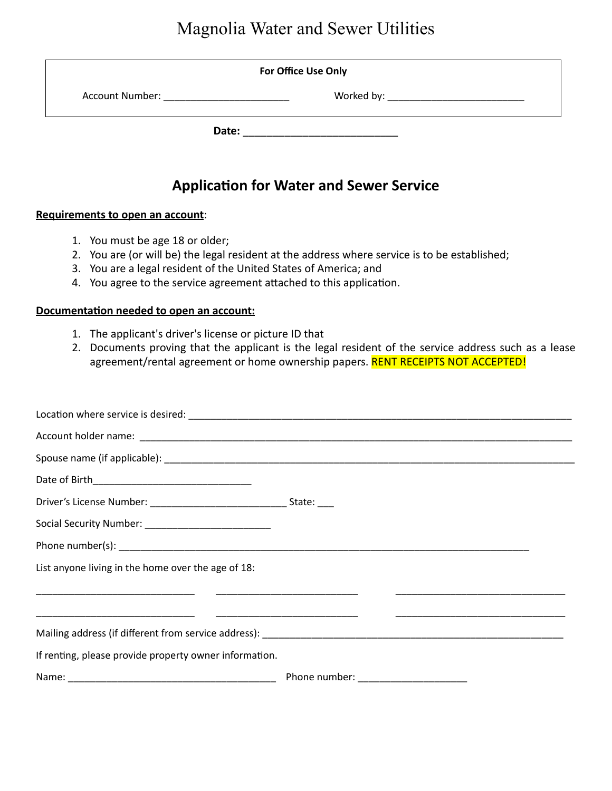# Magnolia Water and Sewer Utilities

| For Office Use Only                                                                                                                                                                                                            |                                                |  |
|--------------------------------------------------------------------------------------------------------------------------------------------------------------------------------------------------------------------------------|------------------------------------------------|--|
| Account Number: The Country of the Country of the Country of the Country of the Country of the Country of the Country of the Country of the Country of the Country of the Country of the Country of the Country of the Country |                                                |  |
| Date:                                                                                                                                                                                                                          |                                                |  |
|                                                                                                                                                                                                                                | <b>Application for Water and Sewer Service</b> |  |

#### **Requirements to open an account:**

- 1. You must be age 18 or older;
- 2. You are (or will be) the legal resident at the address where service is to be established;
- 3. You are a legal resident of the United States of America; and
- 4. You agree to the service agreement attached to this application.

### **Documentation needed to open an account:**

- 1. The applicant's driver's license or picture ID that
- 2. Documents proving that the applicant is the legal resident of the service address such as a lease agreement/rental agreement or home ownership papers. RENT RECEIPTS NOT ACCEPTED!

| List anyone living in the home over the age of 18:     |  |
|--------------------------------------------------------|--|
|                                                        |  |
|                                                        |  |
|                                                        |  |
| If renting, please provide property owner information. |  |
|                                                        |  |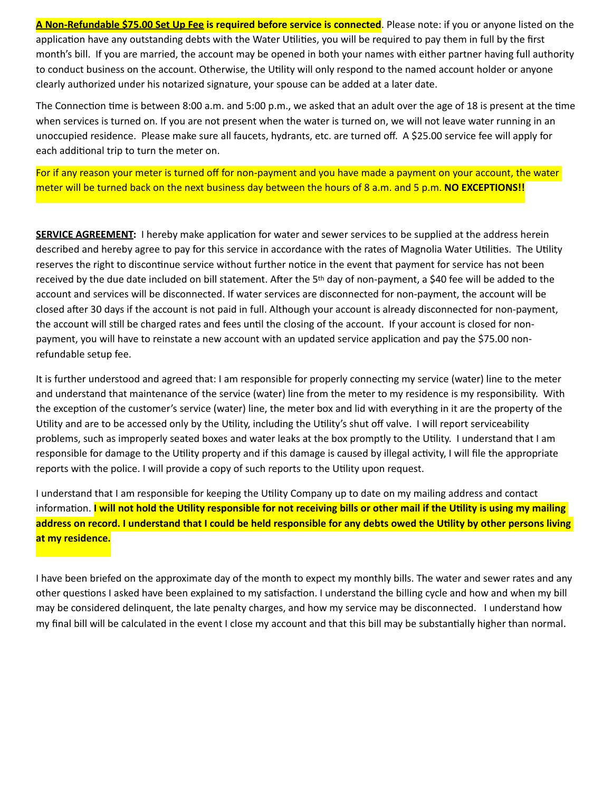**A Non-Refundable \$75.00 Set Up Fee is required before service is connected**. Please note: if you or anyone listed on the application have any outstanding debts with the Water Utilities, you will be required to pay them in full by the first month's bill. If you are married, the account may be opened in both your names with either partner having full authority to conduct business on the account. Otherwise, the Utility will only respond to the named account holder or anyone clearly authorized under his notarized signature, your spouse can be added at a later date.

The Connection time is between  $8:00$  a.m. and  $5:00$  p.m., we asked that an adult over the age of 18 is present at the time when services is turned on. If you are not present when the water is turned on, we will not leave water running in an unoccupied residence. Please make sure all faucets, hydrants, etc. are turned off. A \$25.00 service fee will apply for each additional trip to turn the meter on.

For if any reason your meter is turned off for non-payment and you have made a payment on your account, the water meter will be turned back on the next business day between the hours of 8 a.m. and 5 p.m. **NO EXCEPTIONS!!** 

**SERVICE AGREEMENT:** I hereby make application for water and sewer services to be supplied at the address herein described and hereby agree to pay for this service in accordance with the rates of Magnolia Water Utilities. The Utility reserves the right to discontinue service without further notice in the event that payment for service has not been received by the due date included on bill statement. After the 5<sup>th</sup> day of non-payment, a \$40 fee will be added to the account and services will be disconnected. If water services are disconnected for non-payment, the account will be closed after 30 days if the account is not paid in full. Although your account is already disconnected for non-payment, the account will still be charged rates and fees until the closing of the account. If your account is closed for nonpayment, you will have to reinstate a new account with an updated service application and pay the \$75.00 nonrefundable setup fee.

It is further understood and agreed that: I am responsible for properly connecting my service (water) line to the meter and understand that maintenance of the service (water) line from the meter to my residence is my responsibility. With the exception of the customer's service (water) line, the meter box and lid with everything in it are the property of the Utility and are to be accessed only by the Utility, including the Utility's shut off valve. I will report serviceability problems, such as improperly seated boxes and water leaks at the box promptly to the Utility. I understand that I am responsible for damage to the Utility property and if this damage is caused by illegal activity, I will file the appropriate reports with the police. I will provide a copy of such reports to the Utility upon request.

I understand that I am responsible for keeping the Utility Company up to date on my mailing address and contact information. I will not hold the Utility responsible for not receiving bills or other mail if the Utility is using my mailing address on record. I understand that I could be held responsible for any debts owed the Utility by other persons living at my residence.

I have been briefed on the approximate day of the month to expect my monthly bills. The water and sewer rates and any other questions I asked have been explained to my satisfaction. I understand the billing cycle and how and when my bill may be considered delinquent, the late penalty charges, and how my service may be disconnected. I understand how my final bill will be calculated in the event I close my account and that this bill may be substantially higher than normal.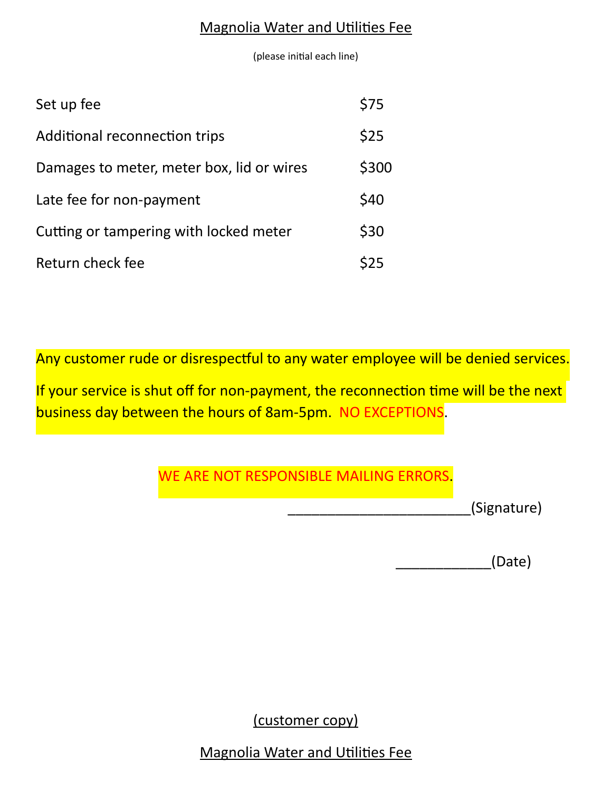### **Magnolia Water and Utilities Fee**

(please initial each line)

| Set up fee                                | \$75  |
|-------------------------------------------|-------|
| Additional reconnection trips             | \$25  |
| Damages to meter, meter box, lid or wires | \$300 |
| Late fee for non-payment                  | \$40  |
| Cutting or tampering with locked meter    | \$30  |
| Return check fee                          | 525   |

Any customer rude or disrespectful to any water employee will be denied services.

If your service is shut off for non-payment, the reconnection time will be the next business day between the hours of 8am-5pm. NO EXCEPTIONS.

## WE ARE NOT RESPONSIBLE MAILING ERRORS.

\_\_\_\_\_\_\_\_\_\_\_\_\_\_\_\_\_\_\_\_\_\_\_(Signature)

\_\_\_\_\_\_\_\_\_\_\_\_(Date)

(customer copy)

**Magnolia Water and Utilities Fee**